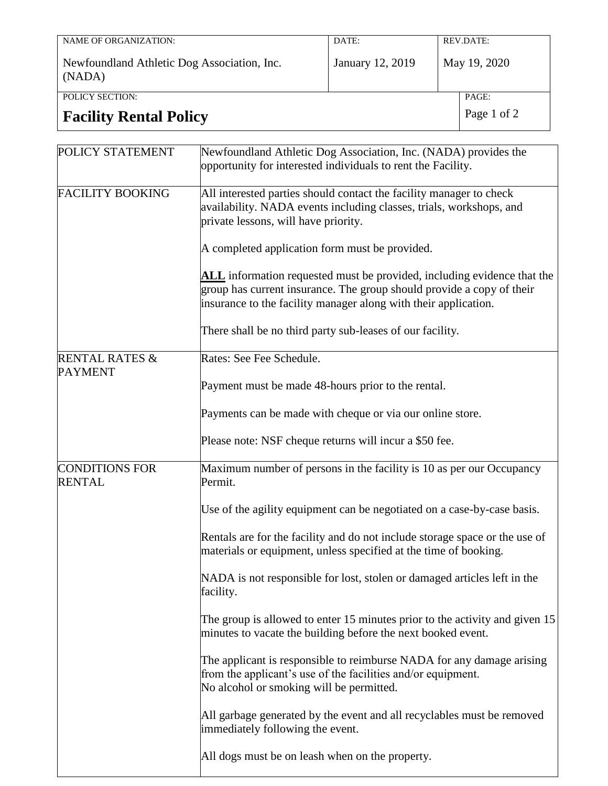| NAME OF ORGANIZATION:                                 | DATE:            |  | REV.DATE:    |
|-------------------------------------------------------|------------------|--|--------------|
| Newfoundland Athletic Dog Association, Inc.<br>(NADA) | January 12, 2019 |  | May 19, 2020 |
| POLICY SECTION:                                       |                  |  | PAGE:        |
| <b>Facility Rental Policy</b>                         |                  |  | Page 1 of 2  |

| POLICY STATEMENT                            | Newfoundland Athletic Dog Association, Inc. (NADA) provides the<br>opportunity for interested individuals to rent the Facility.                                                                                     |  |  |  |  |
|---------------------------------------------|---------------------------------------------------------------------------------------------------------------------------------------------------------------------------------------------------------------------|--|--|--|--|
| <b>FACILITY BOOKING</b>                     | All interested parties should contact the facility manager to check<br>availability. NADA events including classes, trials, workshops, and<br>private lessons, will have priority.                                  |  |  |  |  |
|                                             | A completed application form must be provided.                                                                                                                                                                      |  |  |  |  |
|                                             | ALL information requested must be provided, including evidence that the<br>group has current insurance. The group should provide a copy of their<br>insurance to the facility manager along with their application. |  |  |  |  |
|                                             | There shall be no third party sub-leases of our facility.                                                                                                                                                           |  |  |  |  |
| <b>RENTAL RATES &amp;</b><br><b>PAYMENT</b> | Rates: See Fee Schedule.                                                                                                                                                                                            |  |  |  |  |
|                                             | Payment must be made 48-hours prior to the rental.                                                                                                                                                                  |  |  |  |  |
|                                             | Payments can be made with cheque or via our online store.                                                                                                                                                           |  |  |  |  |
|                                             | Please note: NSF cheque returns will incur a \$50 fee.                                                                                                                                                              |  |  |  |  |
| <b>CONDITIONS FOR</b><br><b>RENTAL</b>      | Maximum number of persons in the facility is 10 as per our Occupancy<br>Permit.                                                                                                                                     |  |  |  |  |
|                                             | Use of the agility equipment can be negotiated on a case-by-case basis.                                                                                                                                             |  |  |  |  |
|                                             | Rentals are for the facility and do not include storage space or the use of<br>materials or equipment, unless specified at the time of booking.                                                                     |  |  |  |  |
|                                             | NADA is not responsible for lost, stolen or damaged articles left in the<br>facility.                                                                                                                               |  |  |  |  |
|                                             | The group is allowed to enter 15 minutes prior to the activity and given $15$<br>minutes to vacate the building before the next booked event.                                                                       |  |  |  |  |
|                                             | The applicant is responsible to reimburse NADA for any damage arising<br>from the applicant's use of the facilities and/or equipment.<br>No alcohol or smoking will be permitted.                                   |  |  |  |  |
|                                             | All garbage generated by the event and all recyclables must be removed<br>immediately following the event.                                                                                                          |  |  |  |  |
|                                             | All dogs must be on leash when on the property.                                                                                                                                                                     |  |  |  |  |